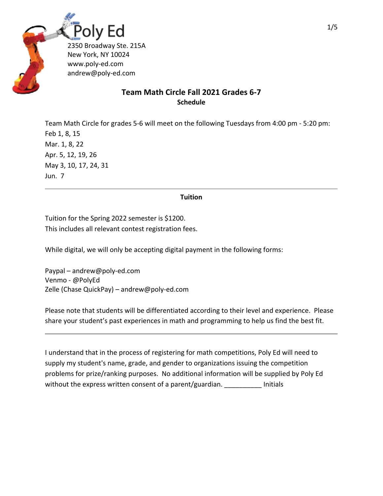

## **Team Math Circle Fall 2021 Grades 6‐7 Schedule**

Team Math Circle for grades 5‐6 will meet on the following Tuesdays from 4:00 pm ‐ 5:20 pm: Feb 1, 8, 15 Mar. 1, 8, 22 Apr. 5, 12, 19, 26 May 3, 10, 17, 24, 31 Jun. 7

## **Tuition**

Tuition for the Spring 2022 semester is \$1200. This includes all relevant contest registration fees.

While digital, we will only be accepting digital payment in the following forms:

Paypal – andrew@poly‐ed.com Venmo ‐ @PolyEd Zelle (Chase QuickPay) – andrew@poly‐ed.com

Please note that students will be differentiated according to their level and experience. Please share your student's past experiences in math and programming to help us find the best fit.

I understand that in the process of registering for math competitions, Poly Ed will need to supply my student's name, grade, and gender to organizations issuing the competition problems for prize/ranking purposes. No additional information will be supplied by Poly Ed without the express written consent of a parent/guardian. Thitials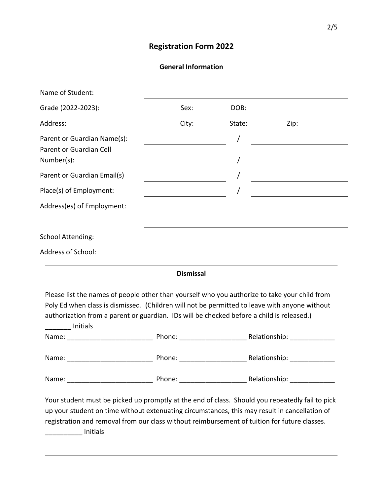# **Registration Form 2022**

## **General Information**

| Name of Student:                                                                                                                                                                                                                                                                                                                                                                                                                                             |                                                                                                                       |        |                                                                                                                      |
|--------------------------------------------------------------------------------------------------------------------------------------------------------------------------------------------------------------------------------------------------------------------------------------------------------------------------------------------------------------------------------------------------------------------------------------------------------------|-----------------------------------------------------------------------------------------------------------------------|--------|----------------------------------------------------------------------------------------------------------------------|
| Grade (2022-2023):                                                                                                                                                                                                                                                                                                                                                                                                                                           | Sex:                                                                                                                  | DOB:   |                                                                                                                      |
| Address:                                                                                                                                                                                                                                                                                                                                                                                                                                                     | City:                                                                                                                 | State: | Zip:                                                                                                                 |
| Parent or Guardian Name(s):<br>Parent or Guardian Cell                                                                                                                                                                                                                                                                                                                                                                                                       |                                                                                                                       |        |                                                                                                                      |
| Number(s):                                                                                                                                                                                                                                                                                                                                                                                                                                                   |                                                                                                                       |        |                                                                                                                      |
| Parent or Guardian Email(s)                                                                                                                                                                                                                                                                                                                                                                                                                                  | <u> 1980 - Johann Barn, mars ann an t-Amhain Aonaich an t-Aonaich an t-Aonaich an t-Aonaich an t-Aonaich an t-Aon</u> |        | <u> 1980 - Johann Barbara, martin amerikan basar dan basar dalam basar dalam basar dalam basar dalam basar dalam</u> |
| Place(s) of Employment:                                                                                                                                                                                                                                                                                                                                                                                                                                      |                                                                                                                       |        |                                                                                                                      |
| Address(es) of Employment:                                                                                                                                                                                                                                                                                                                                                                                                                                   |                                                                                                                       |        |                                                                                                                      |
| School Attending:                                                                                                                                                                                                                                                                                                                                                                                                                                            |                                                                                                                       |        |                                                                                                                      |
| <b>Address of School:</b>                                                                                                                                                                                                                                                                                                                                                                                                                                    |                                                                                                                       |        |                                                                                                                      |
|                                                                                                                                                                                                                                                                                                                                                                                                                                                              | <b>Dismissal</b>                                                                                                      |        |                                                                                                                      |
| Please list the names of people other than yourself who you authorize to take your child from                                                                                                                                                                                                                                                                                                                                                                |                                                                                                                       |        |                                                                                                                      |
| Poly Ed when class is dismissed. (Children will not be permitted to leave with anyone without                                                                                                                                                                                                                                                                                                                                                                |                                                                                                                       |        |                                                                                                                      |
| authorization from a parent or guardian. IDs will be checked before a child is released.)<br><b>Example 1</b> Initials                                                                                                                                                                                                                                                                                                                                       |                                                                                                                       |        |                                                                                                                      |
|                                                                                                                                                                                                                                                                                                                                                                                                                                                              |                                                                                                                       |        |                                                                                                                      |
|                                                                                                                                                                                                                                                                                                                                                                                                                                                              |                                                                                                                       |        |                                                                                                                      |
|                                                                                                                                                                                                                                                                                                                                                                                                                                                              |                                                                                                                       |        |                                                                                                                      |
| $\mathcal{L} = \mathcal{L} + \mathcal{L} + \mathcal{L} + \mathcal{L} + \mathcal{L} + \mathcal{L} + \mathcal{L} + \mathcal{L} + \mathcal{L} + \mathcal{L} + \mathcal{L} + \mathcal{L} + \mathcal{L} + \mathcal{L} + \mathcal{L} + \mathcal{L} + \mathcal{L} + \mathcal{L} + \mathcal{L} + \mathcal{L} + \mathcal{L} + \mathcal{L} + \mathcal{L} + \mathcal{L} + \mathcal{L} + \mathcal{L} + \mathcal{L} + \mathcal{L} + \mathcal{L} + \mathcal{L} + \mathcal$ |                                                                                                                       |        |                                                                                                                      |

Your student must be picked up promptly at the end of class. Should you repeatedly fail to pick up your student on time without extenuating circumstances, this may result in cancellation of registration and removal from our class without reimbursement of tuition for future classes. \_\_\_\_\_\_\_\_\_\_ Initials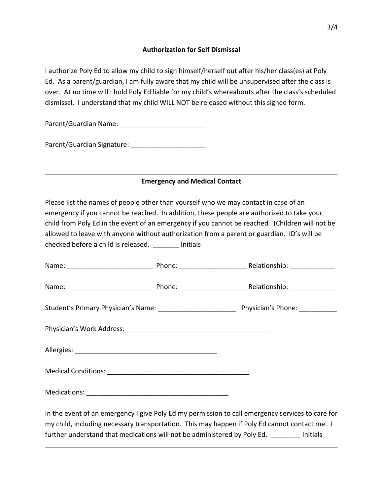#### **Authorization for Self Dismissal**

I authorize Poly Ed to allow my child to sign himself/herself out after his/her class(es) at Poly Ed. As a parent/guardian, I am fully aware that my child will be unsupervised after the class is over. At no time will I hold Poly Ed liable for my child's whereabouts after the class's scheduled dismissal. I understand that my child WILL NOT be released without this signed form.

Parent/Guardian Name:

Parent/Guardian Signature:

## **Emergency and Medical Contact**

Please list the names of people other than yourself who we may contact in case of an emergency if you cannot be reached. In addition, these people are authorized to take your child from Poly Ed in the event of an emergency if you cannot be reached. (Children will not be allowed to leave with anyone without authorization from a parent or guardian. ID's will be checked before a child is released. \_\_\_\_\_\_\_ Initials

|  |  | In the event of an emergency I give Poly Ed my permission to call emergency services to care for<br>my child, including necessary transportation. This may happen if Poly Ed cannot contact me. I |
|--|--|---------------------------------------------------------------------------------------------------------------------------------------------------------------------------------------------------|

further understand that medications will not be administered by Poly Ed. Thitials